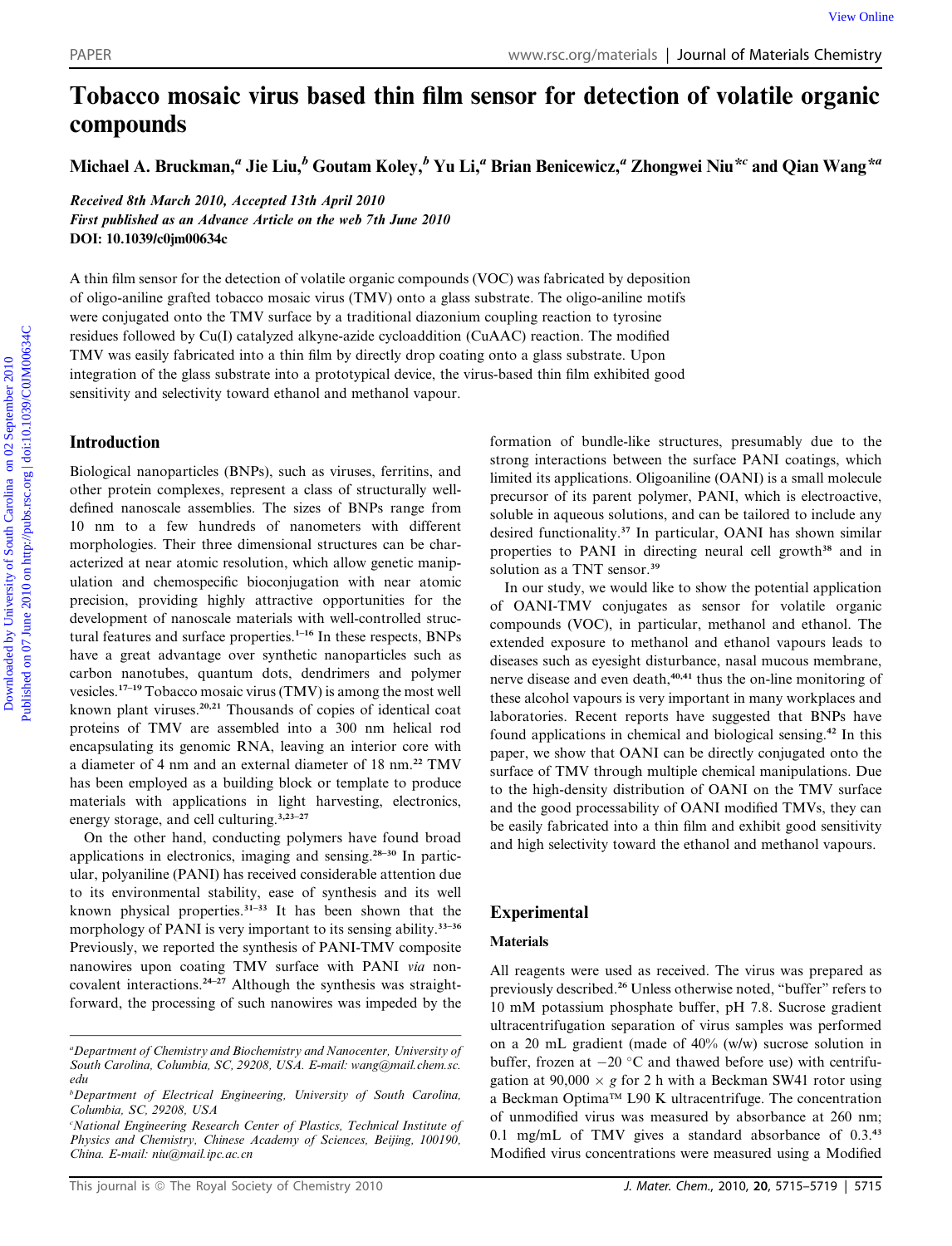# Tobacco mosaic virus based thin film sensor for detection of volatile organic compounds

Michael A. Bruckman,<sup>a</sup> Jie Liu,<sup>b</sup> Goutam Koley,<sup>b</sup> Yu Li,<sup>a</sup> Brian Benicewicz,<sup>a</sup> Zhongwei Niu<sup>\*c</sup> and Qian Wang<sup>\*a</sup>

Received 8th March 2010, Accepted 13th April 2010 First published as an Advance Article on the web 7th June 2010 DOI: 10.1039/c0jm00634c

A thin film sensor for the detection of volatile organic compounds (VOC) was fabricated by deposition of oligo-aniline grafted tobacco mosaic virus (TMV) onto a glass substrate. The oligo-aniline motifs were conjugated onto the TMV surface by a traditional diazonium coupling reaction to tyrosine residues followed by Cu(I) catalyzed alkyne-azide cycloaddition (CuAAC) reaction. The modified TMV was easily fabricated into a thin film by directly drop coating onto a glass substrate. Upon integration of the glass substrate into a prototypical device, the virus-based thin film exhibited good sensitivity and selectivity toward ethanol and methanol vapour.

## Introduction

Biological nanoparticles (BNPs), such as viruses, ferritins, and other protein complexes, represent a class of structurally welldefined nanoscale assemblies. The sizes of BNPs range from 10 nm to a few hundreds of nanometers with different morphologies. Their three dimensional structures can be characterized at near atomic resolution, which allow genetic manipulation and chemospecific bioconjugation with near atomic precision, providing highly attractive opportunities for the development of nanoscale materials with well-controlled structural features and surface properties.<sup>1-16</sup> In these respects, BNPs have a great advantage over synthetic nanoparticles such as carbon nanotubes, quantum dots, dendrimers and polymer vesicles.17–19 Tobacco mosaic virus (TMV) is among the most well known plant viruses.<sup>20,21</sup> Thousands of copies of identical coat proteins of TMV are assembled into a 300 nm helical rod encapsulating its genomic RNA, leaving an interior core with a diameter of 4 nm and an external diameter of 18 nm.<sup>22</sup> TMV has been employed as a building block or template to produce materials with applications in light harvesting, electronics, energy storage, and cell culturing.3,23–27 PAPER<br>
Tobacco mosaic virus based thin film sensor for detection of volatile organic<br>
compounds<br>
Michael A. Bruckman," Jie Liu," Goutam Koley," Yu Li," Brian Benicewicz," Zhongwei Nu<sup>tw</sup> and Qian Wang<sup>ton</sup><br>
Received 8th M

On the other hand, conducting polymers have found broad applications in electronics, imaging and sensing.28–30 In particular, polyaniline (PANI) has received considerable attention due to its environmental stability, ease of synthesis and its well known physical properties.31–33 It has been shown that the morphology of PANI is very important to its sensing ability.<sup>33-36</sup> Previously, we reported the synthesis of PANI-TMV composite nanowires upon coating TMV surface with PANI via noncovalent interactions.24–27 Although the synthesis was straightforward, the processing of such nanowires was impeded by the formation of bundle-like structures, presumably due to the strong interactions between the surface PANI coatings, which limited its applications. Oligoaniline (OANI) is a small molecule precursor of its parent polymer, PANI, which is electroactive, soluble in aqueous solutions, and can be tailored to include any desired functionality.<sup>37</sup> In particular, OANI has shown similar properties to PANI in directing neural cell growth<sup>38</sup> and in solution as a TNT sensor.<sup>39</sup>

In our study, we would like to show the potential application of OANI-TMV conjugates as sensor for volatile organic compounds (VOC), in particular, methanol and ethanol. The extended exposure to methanol and ethanol vapours leads to diseases such as eyesight disturbance, nasal mucous membrane, nerve disease and even death,<sup>40,41</sup> thus the on-line monitoring of these alcohol vapours is very important in many workplaces and laboratories. Recent reports have suggested that BNPs have found applications in chemical and biological sensing.<sup>42</sup> In this paper, we show that OANI can be directly conjugated onto the surface of TMV through multiple chemical manipulations. Due to the high-density distribution of OANI on the TMV surface and the good processability of OANI modified TMVs, they can be easily fabricated into a thin film and exhibit good sensitivity and high selectivity toward the ethanol and methanol vapours.

## Experimental

#### **Materials**

All reagents were used as received. The virus was prepared as previously described.<sup>26</sup> Unless otherwise noted, "buffer" refers to 10 mM potassium phosphate buffer, pH 7.8. Sucrose gradient ultracentrifugation separation of virus samples was performed on a 20 mL gradient (made of 40% (w/w) sucrose solution in buffer, frozen at  $-20$  °C and thawed before use) with centrifugation at  $90,000 \times g$  for 2 h with a Beckman SW41 rotor using a Beckman Optima™ L90 K ultracentrifuge. The concentration of unmodified virus was measured by absorbance at 260 nm; 0.1 mg/mL of TMV gives a standard absorbance of 0.3.<sup>43</sup> Modified virus concentrations were measured using a Modified

a Department of Chemistry and Biochemistry and Nanocenter, University of South Carolina, Columbia, SC, 29208, USA. E-mail: wang@mail.chem.sc. edu

<sup>&</sup>lt;sup>b</sup>Department of Electrical Engineering, University of South Carolina, Columbia, SC, 29208, USA

<sup>&</sup>lt;sup>c</sup>National Engineering Research Center of Plastics, Technical Institute of Physics and Chemistry, Chinese Academy of Sciences, Beijing, 100190, China. E-mail: niu@mail.ipc.ac.cn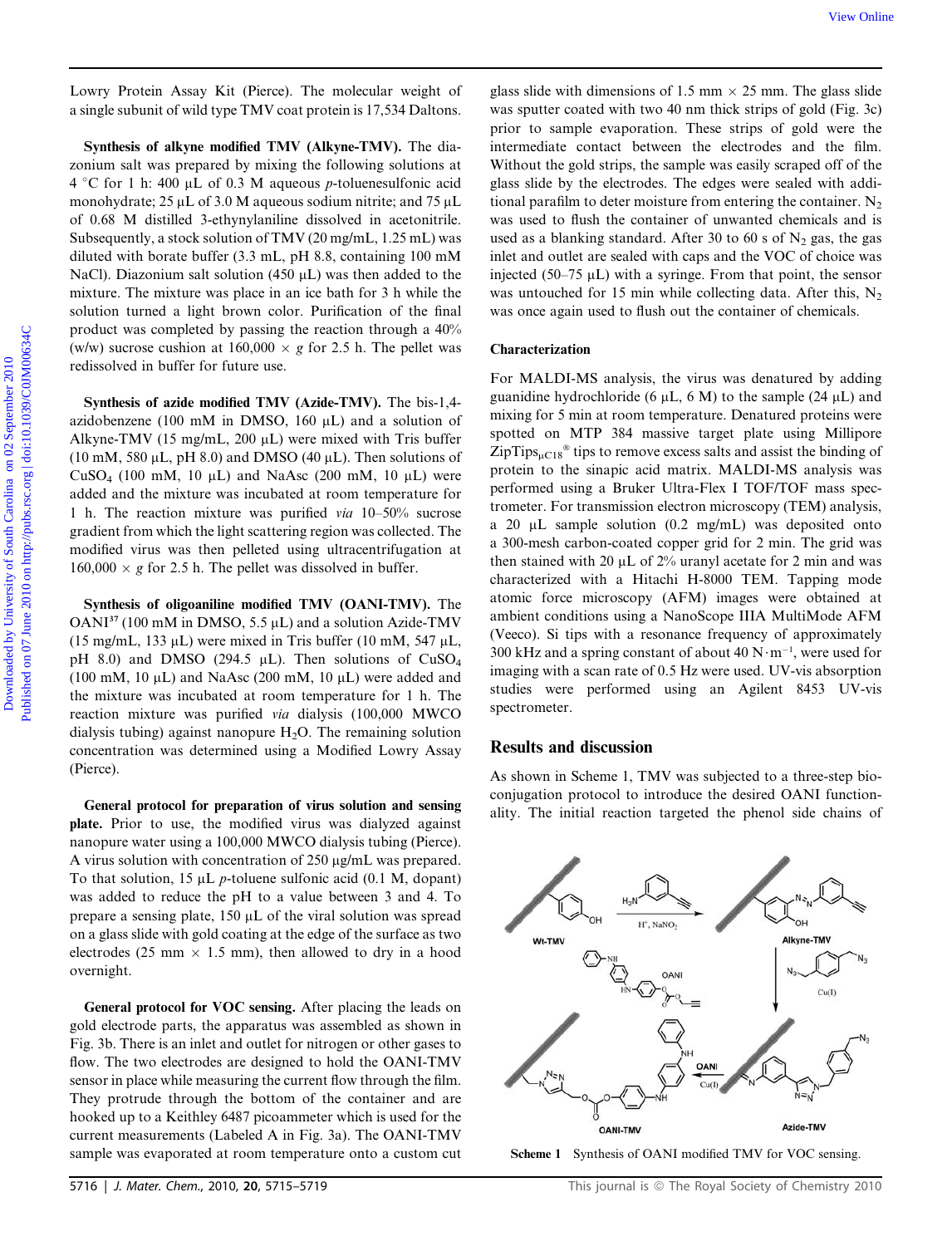Lowry Protein Assay Kit (Pierce). The molecular weight of a single subunit of wild type TMV coat protein is 17,534 Daltons.

Synthesis of alkyne modified TMV (Alkyne-TMV). The diazonium salt was prepared by mixing the following solutions at 4 °C for 1 h: 400  $\mu$ L of 0.3 M aqueous p-toluenesulfonic acid monohydrate;  $25 \mu L$  of 3.0 M aqueous sodium nitrite; and 75  $\mu L$ of 0.68 M distilled 3-ethynylaniline dissolved in acetonitrile. Subsequently, a stock solution of TMV (20 mg/mL, 1.25 mL) was diluted with borate buffer (3.3 mL, pH 8.8, containing 100 mM NaCl). Diazonium salt solution (450  $\mu$ L) was then added to the mixture. The mixture was place in an ice bath for 3 h while the solution turned a light brown color. Purification of the final product was completed by passing the reaction through a 40% (w/w) sucrose cushion at  $160,000 \times g$  for 2.5 h. The pellet was redissolved in buffer for future use.

Synthesis of azide modified TMV (Azide-TMV). The bis-1,4 azidobenzene (100 mM in DMSO, 160  $\mu$ L) and a solution of Alkyne-TMV (15 mg/mL, 200  $\mu$ L) were mixed with Tris buffer (10 mM, 580  $\mu$ L, pH 8.0) and DMSO (40  $\mu$ L). Then solutions of CuSO<sub>4</sub> (100 mM, 10  $\mu$ L) and NaAsc (200 mM, 10  $\mu$ L) were added and the mixture was incubated at room temperature for 1 h. The reaction mixture was purified via 10–50% sucrose gradient from which the light scattering region was collected. The modified virus was then pelleted using ultracentrifugation at  $160,000 \times g$  for 2.5 h. The pellet was dissolved in buffer.

Synthesis of oligoaniline modified TMV (OANI-TMV). The OANI<sup>37</sup> (100 mM in DMSO, 5.5  $\mu$ L) and a solution Azide-TMV (15 mg/mL, 133  $\mu$ L) were mixed in Tris buffer (10 mM, 547  $\mu$ L, pH 8.0) and DMSO (294.5  $\mu$ L). Then solutions of CuSO<sub>4</sub> (100 mM, 10  $\mu$ L) and NaAsc (200 mM, 10  $\mu$ L) were added and the mixture was incubated at room temperature for 1 h. The reaction mixture was purified via dialysis (100,000 MWCO dialysis tubing) against nanopure  $H_2O$ . The remaining solution concentration was determined using a Modified Lowry Assay (Pierce).

General protocol for preparation of virus solution and sensing plate. Prior to use, the modified virus was dialyzed against nanopure water using a 100,000 MWCO dialysis tubing (Pierce). A virus solution with concentration of  $250 \mu g/mL$  was prepared. To that solution, 15  $\mu$ L *p*-toluene sulfonic acid (0.1 M, dopant) was added to reduce the pH to a value between 3 and 4. To prepare a sensing plate,  $150 \mu L$  of the viral solution was spread on a glass slide with gold coating at the edge of the surface as two electrodes (25 mm  $\times$  1.5 mm), then allowed to dry in a hood overnight.

General protocol for VOC sensing. After placing the leads on gold electrode parts, the apparatus was assembled as shown in Fig. 3b. There is an inlet and outlet for nitrogen or other gases to flow. The two electrodes are designed to hold the OANI-TMV sensor in place while measuring the current flow through the film. They protrude through the bottom of the container and are hooked up to a Keithley 6487 picoammeter which is used for the current measurements (Labeled A in Fig. 3a). The OANI-TMV sample was evaporated at room temperature onto a custom cut glass slide with dimensions of 1.5 mm  $\times$  25 mm. The glass slide was sputter coated with two 40 nm thick strips of gold (Fig. 3c) prior to sample evaporation. These strips of gold were the intermediate contact between the electrodes and the film. Without the gold strips, the sample was easily scraped off of the glass slide by the electrodes. The edges were sealed with additional parafilm to deter moisture from entering the container.  $N_2$ was used to flush the container of unwanted chemicals and is used as a blanking standard. After 30 to 60 s of  $N_2$  gas, the gas inlet and outlet are sealed with caps and the VOC of choice was injected (50–75  $\mu$ L) with a syringe. From that point, the sensor was untouched for 15 min while collecting data. After this,  $N_2$ was once again used to flush out the container of chemicals.

#### Characterization

For MALDI-MS analysis, the virus was denatured by adding guanidine hydrochloride (6  $\mu$ L, 6 M) to the sample (24  $\mu$ L) and mixing for 5 min at room temperature. Denatured proteins were spotted on MTP 384 massive target plate using Millipore  $\text{ZipTips}_{\text{uC18}}$ <sup>®</sup> tips to remove excess salts and assist the binding of protein to the sinapic acid matrix. MALDI-MS analysis was performed using a Bruker Ultra-Flex I TOF/TOF mass spectrometer. For transmission electron microscopy (TEM) analysis, a 20 µL sample solution (0.2 mg/mL) was deposited onto a 300-mesh carbon-coated copper grid for 2 min. The grid was then stained with 20  $\mu$ L of 2% uranyl acetate for 2 min and was characterized with a Hitachi H-8000 TEM. Tapping mode atomic force microscopy (AFM) images were obtained at ambient conditions using a NanoScope IIIA MultiMode AFM (Veeco). Si tips with a resonance frequency of approximately 300 kHz and a spring constant of about  $40 \text{ N} \cdot \text{m}^{-1}$ , were used for imaging with a scan rate of 0.5 Hz were used. UV-vis absorption studies were performed using an Agilent 8453 UV-vis spectrometer. Universy Protein Assay Kit (Plerce). The molecular verigint of  $\mu$  plats diferentions of 1.5 mm  $\times$  25 mm. The glass side assignts a sample value of the molecular on 0.103 Published of all the sign of glad lines the mol

## Results and discussion

As shown in Scheme 1, TMV was subjected to a three-step bioconjugation protocol to introduce the desired OANI functionality. The initial reaction targeted the phenol side chains of



Scheme 1 Synthesis of OANI modified TMV for VOC sensing.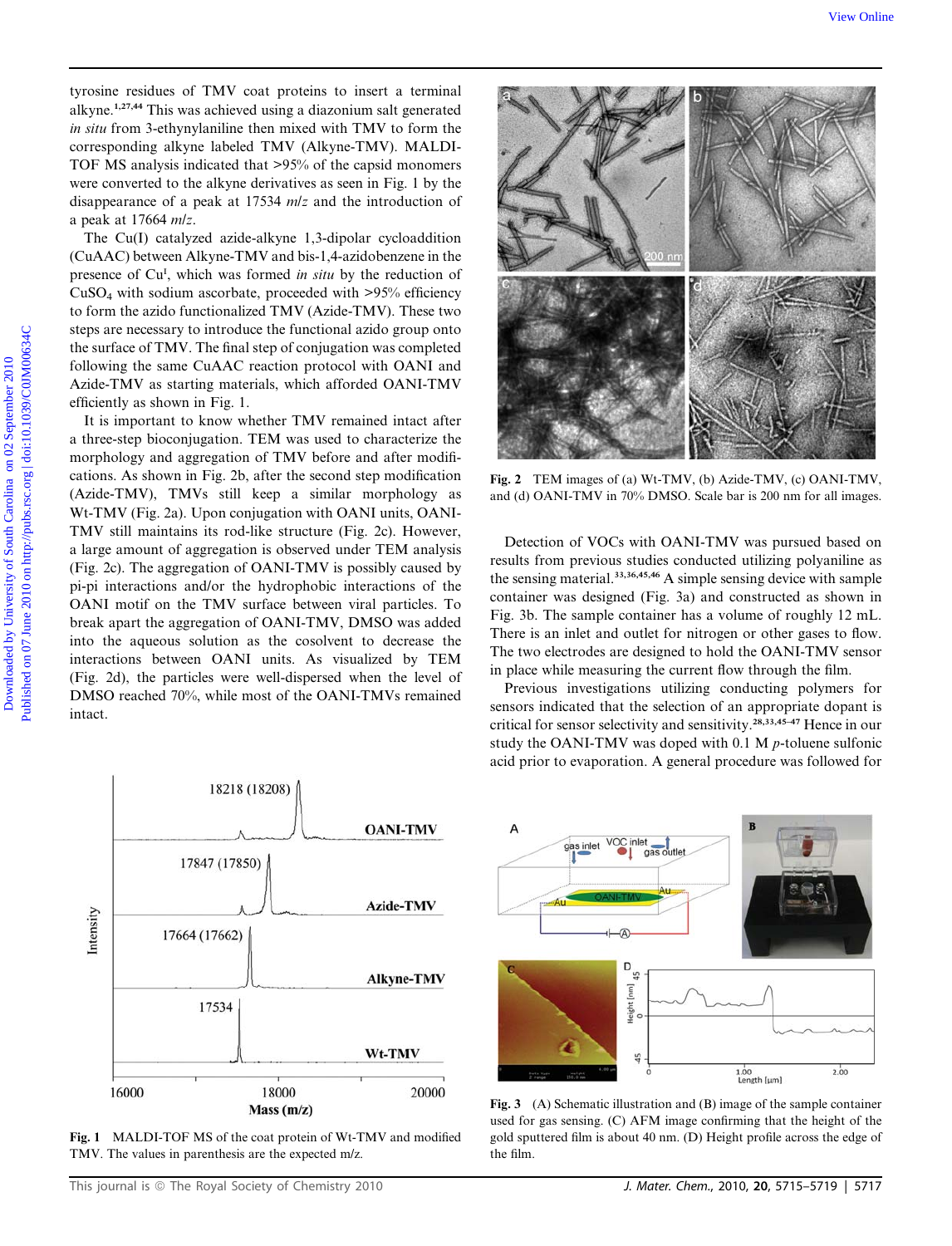tyrosine residues of TMV coat proteins to insert a terminal alkyne.1,27,44 This was achieved using a diazonium salt generated in situ from 3-ethynylaniline then mixed with TMV to form the corresponding alkyne labeled TMV (Alkyne-TMV). MALDI-TOF MS analysis indicated that >95% of the capsid monomers were converted to the alkyne derivatives as seen in Fig. 1 by the disappearance of a peak at 17534 m/z and the introduction of a peak at  $17664$  m/z.

The Cu(I) catalyzed azide-alkyne 1,3-dipolar cycloaddition (CuAAC) between Alkyne-TMV and bis-1,4-azidobenzene in the presence of Cu<sup>I</sup>, which was formed in situ by the reduction of  $CuSO<sub>4</sub>$  with sodium ascorbate, proceeded with  $>95%$  efficiency to form the azido functionalized TMV (Azide-TMV). These two steps are necessary to introduce the functional azido group onto the surface of TMV. The final step of conjugation was completed following the same CuAAC reaction protocol with OANI and Azide-TMV as starting materials, which afforded OANI-TMV efficiently as shown in Fig. 1.

It is important to know whether TMV remained intact after a three-step bioconjugation. TEM was used to characterize the morphology and aggregation of TMV before and after modifications. As shown in Fig. 2b, after the second step modification (Azide-TMV), TMVs still keep a similar morphology as Wt-TMV (Fig. 2a). Upon conjugation with OANI units, OANI-TMV still maintains its rod-like structure (Fig. 2c). However, a large amount of aggregation is observed under TEM analysis (Fig. 2c). The aggregation of OANI-TMV is possibly caused by pi-pi interactions and/or the hydrophobic interactions of the OANI motif on the TMV surface between viral particles. To break apart the aggregation of OANI-TMV, DMSO was added into the aqueous solution as the cosolvent to decrease the interactions between OANI units. As visualized by TEM (Fig. 2d), the particles were well-dispersed when the level of DMSO reached 70%, while most of the OANI-TMVs remained intact.



Fig. 1 MALDI-TOF MS of the coat protein of Wt-TMV and modified TMV. The values in parenthesis are the expected m/z.



Fig. 2 TEM images of (a) Wt-TMV, (b) Azide-TMV, (c) OANI-TMV, and (d) OANI-TMV in 70% DMSO. Scale bar is 200 nm for all images.

Detection of VOCs with OANI-TMV was pursued based on results from previous studies conducted utilizing polyaniline as the sensing material.33,36,45,46 A simple sensing device with sample container was designed (Fig. 3a) and constructed as shown in Fig. 3b. The sample container has a volume of roughly 12 mL. There is an inlet and outlet for nitrogen or other gases to flow. The two electrodes are designed to hold the OANI-TMV sensor in place while measuring the current flow through the film.

Previous investigations utilizing conducting polymers for sensors indicated that the selection of an appropriate dopant is critical for sensor selectivity and sensitivity.28,33,45–47 Hence in our study the OANI-TMV was doped with 0.1 M p-toluene sulfonic acid prior to evaporation. A general procedure was followed for



Fig. 3 (A) Schematic illustration and (B) image of the sample container used for gas sensing. (C) AFM image confirming that the height of the gold sputtered film is about 40 nm. (D) Height profile across the edge of the film.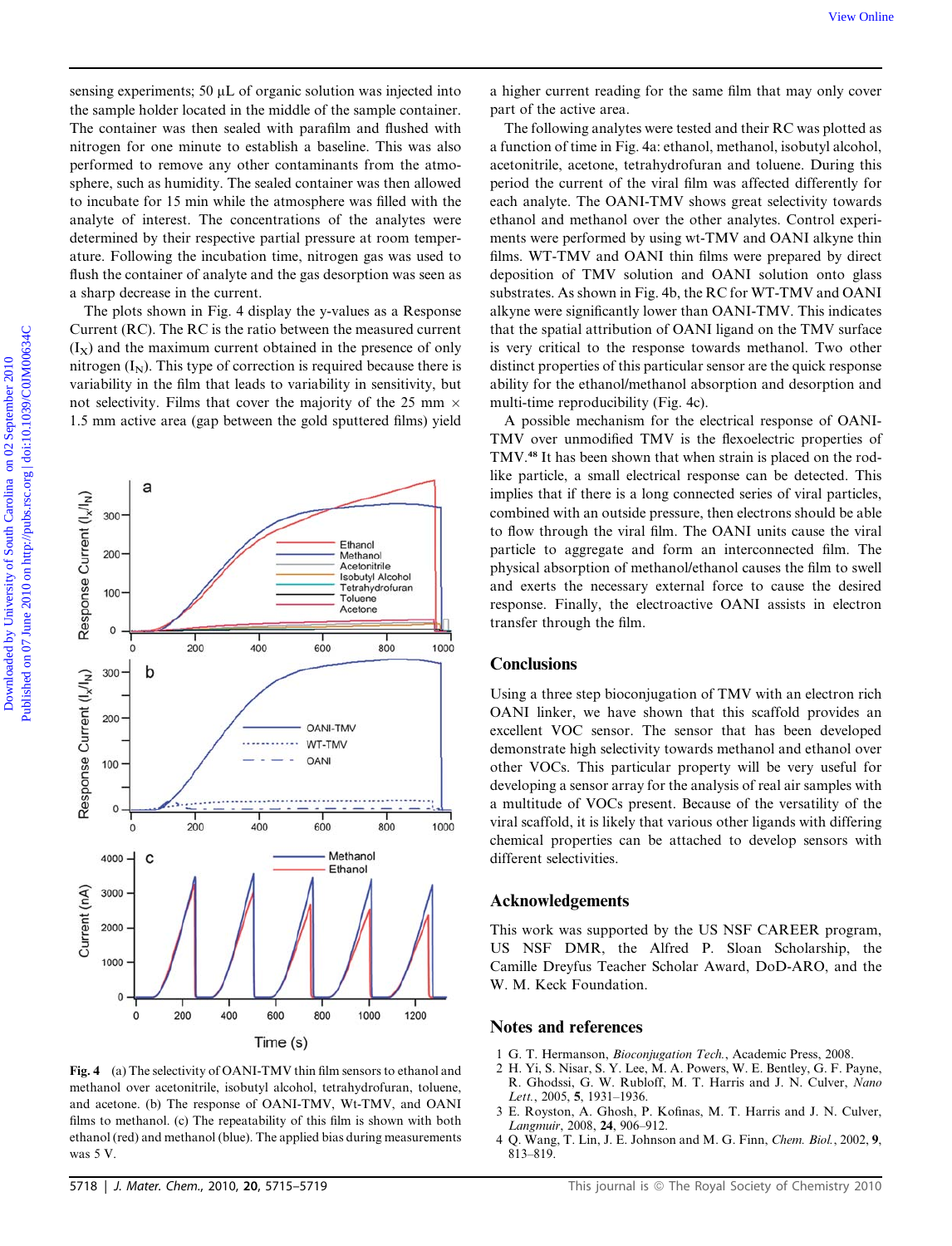sensing experiments;  $50 \mu L$  of organic solution was injected into the sample holder located in the middle of the sample container. The container was then sealed with parafilm and flushed with nitrogen for one minute to establish a baseline. This was also performed to remove any other contaminants from the atmosphere, such as humidity. The sealed container was then allowed to incubate for 15 min while the atmosphere was filled with the analyte of interest. The concentrations of the analytes were determined by their respective partial pressure at room temperature. Following the incubation time, nitrogen gas was used to flush the container of analyte and the gas desorption was seen as a sharp decrease in the current.

The plots shown in Fig. 4 display the y-values as a Response Current (RC). The RC is the ratio between the measured current  $(I_x)$  and the maximum current obtained in the presence of only nitrogen  $(I_N)$ . This type of correction is required because there is variability in the film that leads to variability in sensitivity, but not selectivity. Films that cover the majority of the 25 mm  $\times$ 1.5 mm active area (gap between the gold sputtered films) yield



Fig. 4 (a) The selectivity of OANI-TMV thin film sensors to ethanol and methanol over acetonitrile, isobutyl alcohol, tetrahydrofuran, toluene, and acetone. (b) The response of OANI-TMV, Wt-TMV, and OANI films to methanol. (c) The repeatability of this film is shown with both ethanol (red) and methanol (blue). The applied bias during measurements was 5 V.

a higher current reading for the same film that may only cover part of the active area.

The following analytes were tested and their RC was plotted as a function of time in Fig. 4a: ethanol, methanol, isobutyl alcohol, acetonitrile, acetone, tetrahydrofuran and toluene. During this period the current of the viral film was affected differently for each analyte. The OANI-TMV shows great selectivity towards ethanol and methanol over the other analytes. Control experiments were performed by using wt-TMV and OANI alkyne thin films. WT-TMV and OANI thin films were prepared by direct deposition of TMV solution and OANI solution onto glass substrates. As shown in Fig. 4b, the RC for WT-TMV and OANI alkyne were significantly lower than OANI-TMV. This indicates that the spatial attribution of OANI ligand on the TMV surface is very critical to the response towards methanol. Two other distinct properties of this particular sensor are the quick response ability for the ethanol/methanol absorption and desorption and multi-time reproducibility (Fig. 4c). Were Online on the signal on the total on the signal on the signal on the signal of the signal base of the signal of the signal of the signal of the signal of the signal of the signal of the signal of the signal of the si

A possible mechanism for the electrical response of OANI-TMV over unmodified TMV is the flexoelectric properties of TMV.<sup>48</sup> It has been shown that when strain is placed on the rodlike particle, a small electrical response can be detected. This implies that if there is a long connected series of viral particles, combined with an outside pressure, then electrons should be able to flow through the viral film. The OANI units cause the viral particle to aggregate and form an interconnected film. The physical absorption of methanol/ethanol causes the film to swell and exerts the necessary external force to cause the desired response. Finally, the electroactive OANI assists in electron transfer through the film.

#### **Conclusions**

Using a three step bioconjugation of TMV with an electron rich OANI linker, we have shown that this scaffold provides an excellent VOC sensor. The sensor that has been developed demonstrate high selectivity towards methanol and ethanol over other VOCs. This particular property will be very useful for developing a sensor array for the analysis of real air samples with a multitude of VOCs present. Because of the versatility of the viral scaffold, it is likely that various other ligands with differing chemical properties can be attached to develop sensors with different selectivities.

#### Acknowledgements

This work was supported by the US NSF CAREER program, US NSF DMR, the Alfred P. Sloan Scholarship, the Camille Dreyfus Teacher Scholar Award, DoD-ARO, and the W. M. Keck Foundation.

#### Notes and references

- 1 G. T. Hermanson, Bioconjugation Tech., Academic Press, 2008.
- 2 H. Yi, S. Nisar, S. Y. Lee, M. A. Powers, W. E. Bentley, G. F. Payne, R. Ghodssi, G. W. Rubloff, M. T. Harris and J. N. Culver, Nano Lett., 2005, 5, 1931–1936.
- 3 E. Royston, A. Ghosh, P. Kofinas, M. T. Harris and J. N. Culver, Langmuir, 2008, 24, 906–912.
- 4 Q. Wang, T. Lin, J. E. Johnson and M. G. Finn, Chem. Biol., 2002, 9, 813–819.